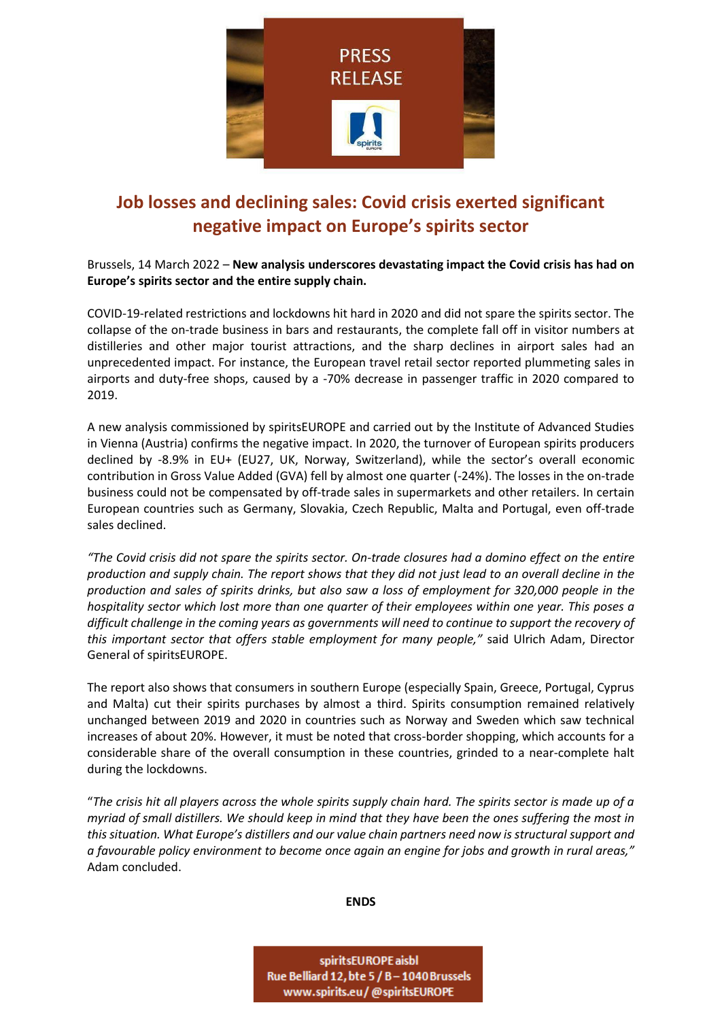

## **Job losses and declining sales: Covid crisis exerted significant negative impact on Europe's spirits sector**

Brussels, 14 March 2022 – **New analysis underscores devastating impact the Covid crisis has had on Europe's spirits sector and the entire supply chain.** 

COVID-19-related restrictions and lockdowns hit hard in 2020 and did not spare the spirits sector. The collapse of the on-trade business in bars and restaurants, the complete fall off in visitor numbers at distilleries and other major tourist attractions, and the sharp declines in airport sales had an unprecedented impact. For instance, the European travel retail sector reported plummeting sales in airports and duty-free shops, caused by a -70% decrease in passenger traffic in 2020 compared to 2019.

A new analysis commissioned by spiritsEUROPE and carried out by the Institute of Advanced Studies in Vienna (Austria) confirms the negative impact. In 2020, the turnover of European spirits producers declined by -8.9% in EU+ (EU27, UK, Norway, Switzerland), while the sector's overall economic contribution in Gross Value Added (GVA) fell by almost one quarter (-24%). The losses in the on-trade business could not be compensated by off-trade sales in supermarkets and other retailers. In certain European countries such as Germany, Slovakia, Czech Republic, Malta and Portugal, even off-trade sales declined.

*"The Covid crisis did not spare the spirits sector. On-trade closures had a domino effect on the entire production and supply chain. The report shows that they did not just lead to an overall decline in the production and sales of spirits drinks, but also saw a loss of employment for 320,000 people in the hospitality sector which lost more than one quarter of their employees within one year. This poses a difficult challenge in the coming years as governments will need to continue to support the recovery of this important sector that offers stable employment for many people,"* said Ulrich Adam, Director General of spiritsEUROPE.

The report also shows that consumers in southern Europe (especially Spain, Greece, Portugal, Cyprus and Malta) cut their spirits purchases by almost a third. Spirits consumption remained relatively unchanged between 2019 and 2020 in countries such as Norway and Sweden which saw technical increases of about 20%. However, it must be noted that cross-border shopping, which accounts for a considerable share of the overall consumption in these countries, grinded to a near-complete halt during the lockdowns.

"*The crisis hit all players across the whole spirits supply chain hard. The spirits sector is made up of a myriad of small distillers. We should keep in mind that they have been the ones suffering the most in this situation. What Europe's distillers and our value chain partners need now is structural support and a favourable policy environment to become once again an engine for jobs and growth in rural areas,"*  Adam concluded.

**ENDS**

spiritsEUROPE aisbl Rue Belliard 12, bte 5 / B - 1040 Brussels www.spirits.eu/@spiritsEUROPE